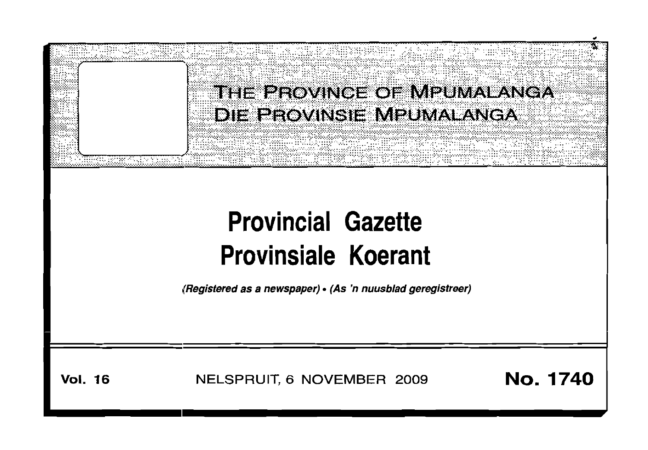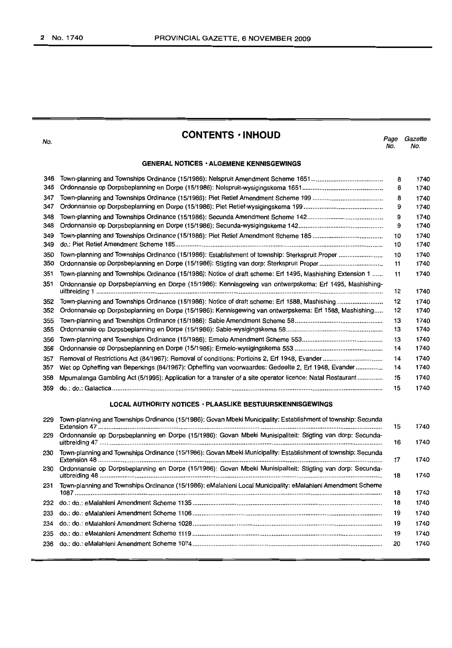No.

## **CONTENTS -INHOUD**

Page Gazette<br>No. No. No. No.

### **GENERAL NOTICES • ALGEMENE KENNISGEWINGS**

| 346 |                                                                                                           | 8  | 1740 |
|-----|-----------------------------------------------------------------------------------------------------------|----|------|
| 346 |                                                                                                           | 8  | 1740 |
| 347 |                                                                                                           | 8  | 1740 |
| 347 |                                                                                                           | 9  | 1740 |
| 348 |                                                                                                           | 9  | 1740 |
| 348 |                                                                                                           | 9  | 1740 |
| 349 |                                                                                                           | 10 | 1740 |
| 349 |                                                                                                           | 10 | 1740 |
| 350 | Town-planning and Townships Ordinance (15/1986): Establishment of township: Sterkspruit Proper            | 10 | 1740 |
| 350 |                                                                                                           | 11 | 1740 |
| 351 | Town-planning and Townships Ordinance (15/1986): Notice of draft scheme: Erf 1495, Mashishing Extension 1 | 11 | 1740 |
| 351 | Ordonnansie op Dorpsbeplanning en Dorpe (15/1986): Kennisgewing van ontwerpskema: Erf 1495, Mashishing-   | 12 | 1740 |
| 352 | Town-planning and Townships Ordinance (15/1986): Notice of draft scheme: Erf 1588, Mashishing             | 12 | 1740 |
| 352 | Ordonnansie op Dorpsbeplanning en Dorpe (15/1986): Kennisgewing van ontwerpskema: Erf 1588, Mashishing    | 12 | 1740 |
| 355 |                                                                                                           | 13 | 1740 |
| 355 |                                                                                                           | 13 | 1740 |
| 356 |                                                                                                           | 13 | 1740 |
| 356 |                                                                                                           | 14 | 1740 |
| 357 |                                                                                                           | 14 | 1740 |
| 357 | Wet op Opheffing van Beperkings (84/1967): Opheffing van voorwaardes: Gedeelte 2, Erf 1948, Evander       | 14 | 1740 |
| 358 | Mpumalanga Gambling Act (5/1995): Application for a transfer of a site operator licence: Natal Restaurant | 15 | 1740 |
| 359 |                                                                                                           | 15 | 1740 |

## **LOCAL AUTHORITY NOTICES· PLAASLIKE BESTUURSKENNISGEWINGS**

| 229 | Town-planning and Townships Ordinance (15/1986): Govan Mbeki Municipality: Establishment of township: Secunda | 15 | 1740 |
|-----|---------------------------------------------------------------------------------------------------------------|----|------|
| 229 | Ordonnansie op Dorpsbeplanning en Dorpe (15/1986): Govan Mbeki Munisipaliteit: Stigting van dorp: Secunda-    | 16 | 1740 |
| 230 | Town-planning and Townships Ordinance (15/1986): Govan Mbeki Municipality: Establishment of township: Secunda | 17 | 1740 |
| 230 | Ordonnansie op Dorpsbeplanning en Dorpe (15/1986): Govan Mbeki Munisipaliteit: Stigting van dorp: Secunda-    | 18 | 1740 |
| 231 | Town-planning and Townships Ordinance (15/1986): eMalahleni Local Municipality: eMalahleni Amendment Scheme   | 18 | 1740 |
| 232 |                                                                                                               | 18 | 1740 |
| 233 |                                                                                                               | 19 | 1740 |
| 234 |                                                                                                               | 19 | 1740 |
| 235 |                                                                                                               | 19 | 1740 |
| 236 |                                                                                                               | 20 | 1740 |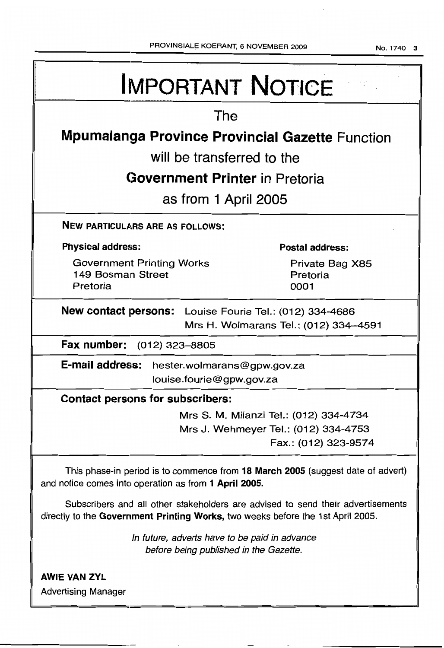No.1740 3

| <b>IMPORTANT NOTICE</b>                                                                                                                                            |  |  |  |  |  |
|--------------------------------------------------------------------------------------------------------------------------------------------------------------------|--|--|--|--|--|
| The                                                                                                                                                                |  |  |  |  |  |
| <b>Mpumalanga Province Provincial Gazette Function</b>                                                                                                             |  |  |  |  |  |
| will be transferred to the                                                                                                                                         |  |  |  |  |  |
| Government Printer in Pretoria                                                                                                                                     |  |  |  |  |  |
| as from 1 April 2005                                                                                                                                               |  |  |  |  |  |
| <b>NEW PARTICULARS ARE AS FOLLOWS:</b>                                                                                                                             |  |  |  |  |  |
| <b>Physical address:</b><br><b>Postal address:</b>                                                                                                                 |  |  |  |  |  |
| <b>Government Printing Works</b><br>Private Bag X85<br>149 Bosman Street<br>Pretoria<br>Pretoria<br>0001                                                           |  |  |  |  |  |
| <b>New contact persons:</b> Louise Fourie Tel.: (012) 334-4686<br>Mrs H. Wolmarans Tel.: (012) 334-4591                                                            |  |  |  |  |  |
| Fax number:<br>(012) 323–8805                                                                                                                                      |  |  |  |  |  |
| E-mail address: hester.wolmarans@gpw.gov.za<br>louise.fourie@gpw.gov.za                                                                                            |  |  |  |  |  |
| <b>Contact persons for subscribers:</b>                                                                                                                            |  |  |  |  |  |
| Mrs S. M. Milanzi Tel.: (012) 334-4734                                                                                                                             |  |  |  |  |  |
| Mrs J. Wehmeyer Tel.: (012) 334-4753<br>Fax.: (012) 323-9574                                                                                                       |  |  |  |  |  |
| This phase-in period is to commence from 18 March 2005 (suggest date of advert)<br>and notice comes into operation as from 1 April 2005.                           |  |  |  |  |  |
| Subscribers and all other stakeholders are advised to send their advertisements<br>directly to the Government Printing Works, two weeks before the 1st April 2005. |  |  |  |  |  |
| In future, adverts have to be paid in advance<br>before being published in the Gazette.                                                                            |  |  |  |  |  |
| <b>AWIE VAN ZYL</b>                                                                                                                                                |  |  |  |  |  |

Advertising Manager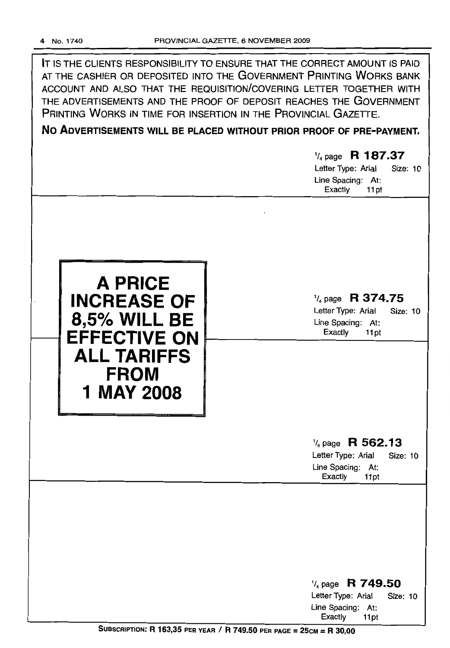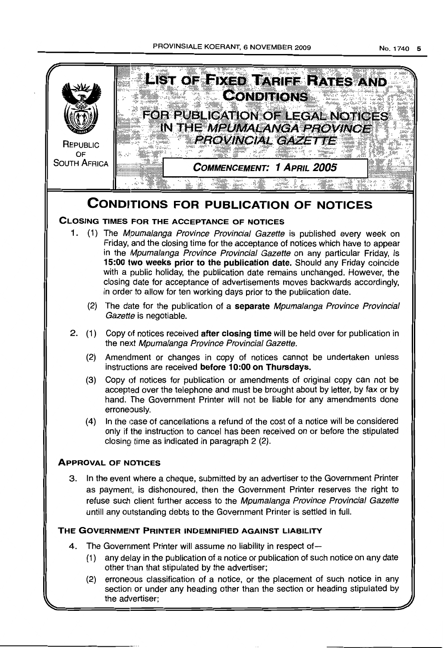### PROVINSIALE KOERANT, 6 NOVEMBER 2009



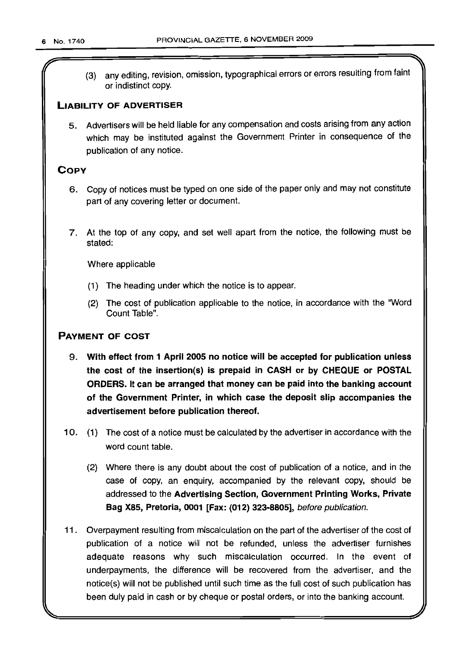r

(3) any editing, revision, omission, typographical errors or errors resulting from faint or indistinct copy.

## LIABILITY OF ADVERTISER

5. Advertisers will be held liable for any compensation and costs arising from any action which may be instituted against the Government Printer in consequence of the publication of any notice.

## **COPY**

- 6. Copy of notices must be typed on one side of the paper only and may not constitute part of any covering letter or document.
- 7. At the top of any copy, and set well apart from the notice, the following must be stated:

Where applicable

- (1) The heading under which the notice is to appear.
- (2) The cost of publication applicable to the notice, in accordance with the 'Word Count Table".

## PAYMENT OF COST

- 9. With effect from 1 April 2005 no notice will be accepted for publication unless the cost of the insertion(s) is prepaid in CASH or by CHEQUE or POSTAL ORDERS. It can be arranged that money can be paid into the banking account of the Government Printer, in which case the deposit slip accompanies the advertisement before publication thereof.
- 10. (1) The cost of a notice must be calculated by the advertiser in accordance with the word count table.
	- (2) Where there is any doubt about the cost of publication of a notice, and in the case of copy, an enquiry, accompanied by the relevant copy, should be addressed to the Advertising Section, Government Printing Works, Private Bag X85, Pretoria, 0001 [Fax: (012) 323-8805], before publication.
- 11. Overpayment resulting from miscalculation on the part of the advertiser of the cost of publication of a notice will not be refunded, unless the advertiser furnishes adequate reasons why such miscalculation occurred. In the event of underpayments, the difference will be recovered from the advertiser, and the notice(s) will not be published until such time as the full cost of such publication has been duly paid in cash or by cheque or postal orders, or into the banking account.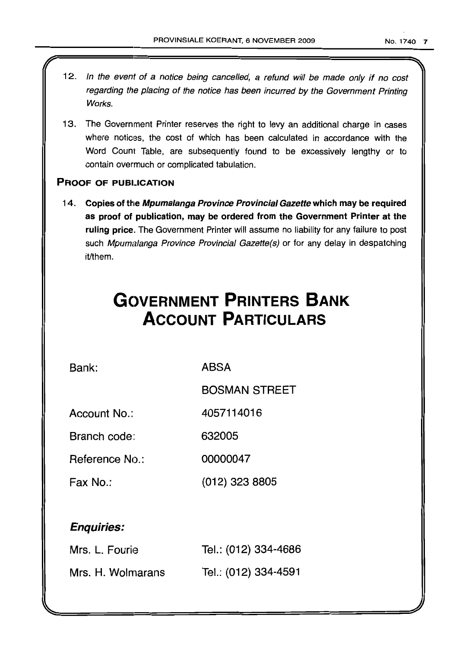- 12. In the event of a notice being cancelled, a refund will be made only if no cost regarding the placing of the notice has been incurred by the Government Printing Works.
- 13. The Government Printer reserves the right to levy an additional charge in cases where notices, the cost of which has been calculated in accordance with the Word Count Table, are subsequently found to be excessively lengthy or to contain overmuch or complicated tabulation.

## PROOF OF PUBUCATION

l

14. Copies of the Mpumalanga Province Provincial Gazette which may be required as proof of publication, may be ordered from the Government Printer at the ruling price. The Government Printer will assume no liability for any failure to post such Mpumalanga Province Provincial Gazette(s) or for any delay in despatching it/them.

# **GC)VERNMENT PRINTERS BANK ACCOUNT PARTICULARS**

Bank: ABSA

BOSMAN STREET

Account No.: 4057114016

Branch code: 632005

Reference No.: 00000047

Fax No.: (012) 323 8805

## Enquiries:

| Mrs. L. Fourie    | Tel.: (012) 334-4686 |
|-------------------|----------------------|
| Mrs. H. Wolmarans | Tel.: (012) 334-4591 |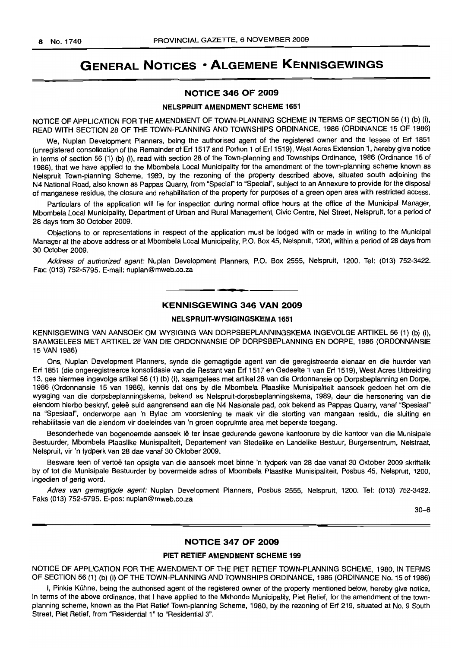## **GENERAL NOTICES • ALGEMENE KENNISGEWINGS**

## **NOTICE 346 OF 2009**

#### **NELSPRUIT AMENDMENT SCHEME** 1651

NOTICE OF APPLICATION FOR THE AMENDMENT OF TOWN-PLANNING SCHEME IN TERMS OF SECTION 56 (1) (b) (i), READ WITH SECTION 28 OF THE TOWN-PLANNING AND TOWNSHIPS ORDINANCE, 1986 (ORDINANCE 15 OF 1986)

We, Nuplan Development Planners, being the authorised agent of the registered owner and the lessee of Erf 1851 (unregistered consolidation of the Remainder of Erf 1517 and Portion 1 of Erf 1519), West Acres Extension 1, hereby give notice in terms of section 56 (1) (b) (i), read with section 28 of the Town-planning and Townships Ordinance, 1986 (Ordinance 15 of 1986), that we have applied to the Mbombela Local Municipality for the amendment of the town-planning scheme known as Nelspruit Town-planning Scheme, 1989, by the rezoning of the property described above, situated south adjoining the N4 National Road, also known as Pappas Quarry, from "Special" to "Special", subject to an Annexure to provide for the disposal of manganese residue, the closure and rehabilitation of the property for purposes of a green open area with restricted access.

Particulars of the application will lie for inspection during normal office hours at the office of the Municipal Manager, Mbombela Local Municipality, Department of Urban and Rural Management, Civic Centre, Nel Street, Nelspruit, for a period of 28 days from 30 October 2009.

Objections to or representations in respect of the application must be lodged with or made in writing to the Municipal Manager at the above address or at Mbombela Local Municipality, P.O. Box 45, Nelspruit, 1200, within a period of 28 days from 30 October 2009.

Address of authorized agent: Nuplan Development Planners, P.O. Box 2555, Nelspruit, 1200. Tei: (013) 752-3422. Fax: (013) 752-5795. E-mail: nuplan@mweb.co.za

### **- KENNISGEWING <sup>346</sup> VAN <sup>2009</sup>**

### **NELSPRUIT-WVSIGINGSKEMA** 1651

KENNISGEWING VAN AANSOEK OM WYSIGING VAN DORPSBEPLANNINGSKEMA INGEVOLGE ARTIKEL 56 (1) (b) (i), SAAMGELEES MET ARTIKEL 28 VAN DIE ORDONNANSIE OP DORPSBEPLANNING EN DORPE, 1986 (ORDONNANSIE 15 VAN 1986)

Ons, Nuplan Development Planners, synde die gemagtigde agent van die geregistreerde eienaar en die huurder van Erf 1851 (die ongeregistreerde konsolidasie van die Restant van Erf 1517 en Gedeelte 1 van Erf 1519), West Acres Uitbreiding 13, gee hiermee ingevolge artikel 56 (1) (b) (i), saamgelees met artikel 28 van die Ordonnansie op Dorpsbeplanning en Dorpe, 1986 (Ordonnansie 15 van 1986), kennis dat ons by die Mbombela Plaaslike Munisipaliteit aansoek gedoen het om die wysiging van die dorpsbeplanningskema, bekend as Nelspruit-dorpsbeplanningskema, 1989, deur die hersonering van die eiendom hierbo beskryf, geleë suid aangrensend aan die N4 Nasionale pad, ook bekend as Pappas Quarry, vanaf "Spesiaal" na "Spesiaal", onderworpe aan 'n Bylae om voorsiening te maak vir die storting van mangaan residu, die sluiting en rehabilitasie van die eiendom vir doeleindes van 'n groen oopruimte area met beperkte toegang.

Besonderhede van bogenoemde aansoek Ie ter insae gedurende gewone kantoorure by die kantoor van die Munisipale Bestuurder, Mbombela Plaaslike Munisipaliteit, Departement van Stedelike en Landelike Bestuur, Burgersentrum, Nelstraat, Nelspruit, vir 'n tydperk van 28 dae vanaf 30 Oktober 2009.

Besware teen of vertoe ten opsigte van die aansoek moet binne 'n tydperk van 28 dae vanaf 30 Oktober 2009 skriftelik by of tot die Munisipale Bestuurder by bovermelde adres of Mbombela Plaaslike Munisipaliteit, Posbus 45, Nelspruit, 1200, ingedien of gerig word.

Adres van gemagtigde agent: Nuplan Development Planners, Posbus 2555, Nelspruit, 1200. Tel: (013) 752-3422. Faks (013) 752-5795. E-pos: nuplan@mweb.co.za

30-6

### **NOTICE 347 OF 2009**

### **PIET RETIEF AMENDMENT SCHEME** 199

NOTICE OF APPLICATION FOR THE AMENDMENT OF THE PIET RETIEF TOWN-PLANNING SCHEME, 1980, IN TERMS OF SECTION 56 (1) (b) (i) OF THE TOWN-PLANNING AND TOWNSHIPS ORDINANCE, 1986 (ORDINANCE No. 15 of 1986)

I, Pinkie Kuhne, being the authorised agent of the registered owner of the property mentioned below, hereby give notice, in terms of the above ordinance, that I have applied to the Mkhondo Municipality, Piet Retief, for the amendment of the townplanning scheme, known as the Piet Retief Town-planning Scheme, 1980, by the rezoning of Erf 219, situated at No. 9 South Street, Piet Retief, from "Residential 1" to "Residential 3".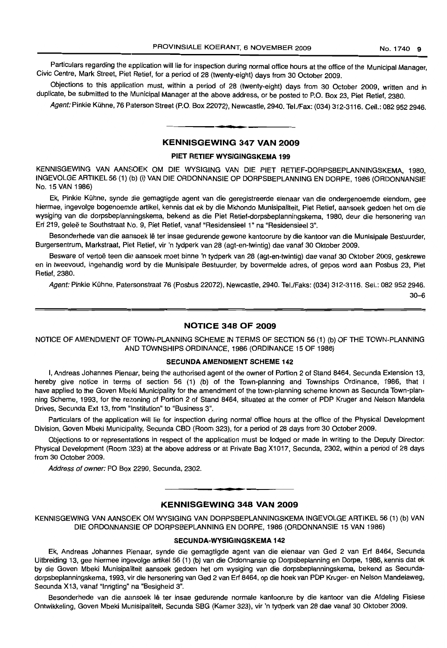Particulars regarding the application will lie for inspection during normal office hours at the office of the Municipal Manager, CIVIC Centre, Mark Street, Piet Retief, for a period of 28 (twenty-eight) days from 30 October 2009.

Objections to this application must, within a period of 28 (twenty-eight) days from 30 October 2009, written and in duplicate, be submitted to the Municipal Manager at the above address, or be posted to P.O. Box 23, Piet Retief, 2380.

Agent: Pinkie Kühne, 76 Paterson Street (P.O. Box 22072), Newcastle, 2940. Tel./Fax: (034) 312-3116. Cell.: 082 952 2946.

### KENNISGEWING 347 VAN 2009

• **• •**

### PIET RETIEF WYSIGINGSKEMA 199

KENNISGEWING VAN AANSOEK OM DIE WYSIGING VAN DIE PIET RETIEF-DORPSBEPLANNINGSKEMA, 1980, INGEVOLGE ARTIKEL 56 (1) (b) (i) VAN DIE ORDONNANSIE OP DORPSBEPLANNING EN DORPE, 1986 (ORDONNANSIE No. 15 VAN 1986)

Ek, Pinkie Kühne, synde die gemagtigde agent van die geregistreerde eienaar van die ondergenoemde eiendom, gee hiermee, ingevolge bogenoemde artikel, kennis dat ek by die Mkhondo Munisipaliteit, Piet Retief, aansoek gedoen het om die wysiging van die dorpsbeplanningskema, bekend as die Piet Retief-dorpsbeplanningskema, 1980, deur die hersonering van Erf 219, geleë te Southstraat No. 9, Piet Retief, vanaf "Residensieel 1" na "Residensieel 3".

Besonderhede van die aansoek lê ter insae gedurende gewone kantoorure by die kantoor van die Munisipale Bestuurder, Burgersentrum, Markstraat, Piet Retief, vir 'n tydperk van 28 (agt-en-twintig) dae vanaf 30 Oktober 2009.

Besware of vertoë teen die aansoek moet binne 'n tydperk van 28 (agt-en-twintig) dae vanaf 30 Oktober 2009, geskrewe en in tweevoud, ingehandig word by die Munisipale Bestuurder, by bovermelde adres, of gepos word aan Posbus 23, Piet Retief,2380.

Agent: Pinkie Kühne, Patersonstraat 76 (Posbus 22072), Newcastle, 2940. Tel./Faks: (034) 312-3116. Sel.: 082 952 2946.

30-6

### NOTICE 348 OF 2009

NOTICE OF AMENDMENT OF TOWN-PLANNING SCHEME IN TERMS OF SECTION 56 (1) (b) OF THE TOWN-PLANNING AND TOWNSHIPS ORDINANCE, 1986 (ORDINANCE 15 OF 1986)

### SECUNDA AMENDMENT SCHEME 142

I, Andreas Johannes Pienaar, being the authorised agent of the owner of Portion 2 of Stand 8464, Secunda Extension 13, hereby give notice in terms of section 56 (1) (b) of the Town-planning and Townships Ordinance, 1986, that I have applied to the Goven Mbeki Municipality for the amendment of the town-planning scheme known as Secunda Town-planning Scheme, 1993, for the rezoning of Portion 2 of Stand 8464, situated at the corner of PDP Kruger and Nelson Mandela Drives, Secunda Ext 13, from "Institution" to "Business 3".

Particulars of the application will lie for inspection during normal office hours at the office of the Physical Development Division, Goven Mbeki Municipality, Secunda CBD (Room 323), for a period of 28 days from 30 October 2009.

Objections to or representations in respect of the application must be lodged or made in writing to the Deputy Director: Physical Development (Room 323) at the above address or at Private Bag X1017, Secunda, 2302, within a period of 28 days from 30 October 2009.

Address of owner: PO Box 2290, Secunda, 2302.

## **- I** KENNISGEWING 348 VAN 2009

KENNISGEWING VAN AANSOEK OM WYSIGING VAN DORPSBEPLANNINGSKEMA INGEVOLGE ARTIKEL 56 (1) (b) VAN DIE ORDONNANSIE OP DORPSBEPLANNING EN DORPE, 1986 (ORDONNANSIE 15 VAN 1986)

### SECUNDA-WYSIGINGSKEMA 142

Ek, Andreas Johannes Pienaar, synde die gemagtigde agent van die eienaar van Ged 2 van Erf 8464, Secunda Uitbreiding 13, gee hiermee ingevolge artikel 56 (1) (b) van die Ordonnansie op Dorpsbeplanning en Dorpe, 1986, kennis dat ek by die Goven Mbeki Munisipaliteit aansoek gedoen het om wysiging van die dorpsbeplanningskema, bekend as Secundadorpsbeplanningskema, 1993, vir die hersonering van Ged 2 van Erf 8464, op die hoek van PDP Kruger- en Nelson Mandelaweg, Secunda X13, vanaf "Inrigting" na "Besigheid 3".

Besonderhede van die aansoek lê ter insae gedurende normale kantoorure by die kantoor van die Afdeling Fisiese Ontwikkeling, Goven Mbeki Munisipaliteit, Secunda SBG (Kamer 323), vir 'n tydperk van 28 dae vanaf 30 Oktober 2009.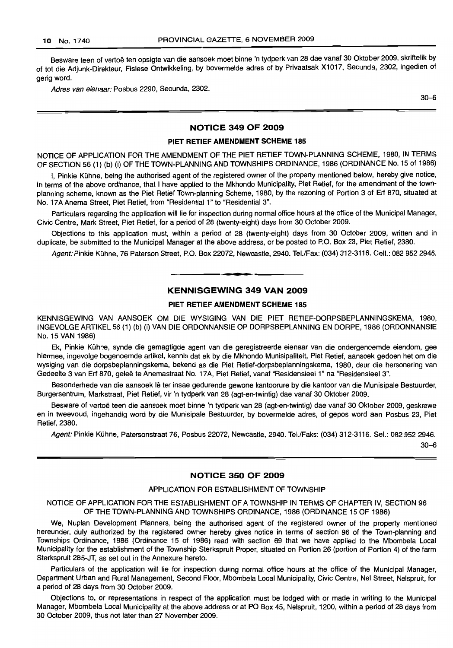Besware teen of vertoë ten opsigte van die aansoek moet binne 'n tydperk van 28 dae vanaf 30 Oktober 2009, skriftelik by of tot die Adjunk-Direkteur, Fisiese Ontwikkeling, by bovermelde adres of by Privaatsak X1017, Secunda, 2302, ingedien of gerig word.

Adres van eienaar: Posbus 2290, Secunda, 2302.

30-6

### **NOTICE 349 OF 2009**

### **PIET RETIEF AMENDMENT SCHEME 185**

NOTICE OF APPLICATION FOR THE AMENDMENT OF THE PIET RETIEF TOWN-PLANNING SCHEME, 1980, IN TERMS OF SECTION 56 (1) (b) (i) OF THE TOWN-PLANNING AND TOWNSHIPS ORDINANCE, 1986 (ORDINANCE No. 15 of 1986)

I. Pinkie Kühne, being the authorised agent of the registered owner of the property mentioned below, hereby give notice, in terms of the above ordinance, that I have applied to the Mkhondo Municipality, Piet Retief, for the amendment of the townplanning scheme, known as the Piet Retief Town-planning Scheme, 1980, by the rezoning of Portion 3 of Erf 870, situated at No. 17A Anema Street, Piet Retief, from "Residential 1" to "Residential 3".

Particulars regarding the application will lie for inspection during normal office hours at the office of the Municipal Manager, Civic Centre, Mark Street, Piet Retief, for a period of 28 (twenty-eight) days from 30 October 2009.

Objections to this application must, within a period of 28 (twenty-eight) days from 30 October 2009, written and in duplicate, be submitted to the Municipal Manager at the above address, or be posted to P.O. Box 23, Piet Retief, 2380.

Agent: Pinkie Kühne, 76 Paterson Street, P.O. Box 22072, Newcastle, 2940. Tel./Fax: (034) 312-3116. Cell.: 082 952 2946.

## **KENNISGEWING 349 VAN 2009**

• **• •**

### **PIET RETIEF AMENDMENT SCHEME 185**

KENNISGEWING VAN AANSOEK OM DIE WYSIGING VAN DIE PIET RETIEF-DORPSBEPLANNINGSKEMA, 1980, INGEVOLGE ARTIKEL 56 (1) (b) (i) VAN DIE ORDONNANSIE OP DORPSBEPLANNING EN DORPE, 1986 (ORDONNANSIE No. 15 VAN 1986)

Ek, Pinkie Kühne, synde die gemagtigde agent van die geregistreerde eienaar van die ondergenoemde eiendom, gee hiermee, ingevofge bogenoemde artikel, kennis dat ek by die Mkhondo Munisipaliteit, Piet Retief, aansoek gedoen het om die wysiging van die dorpsbeplanningskema, bekend as die Piet Retief-dorpsbeplanningskema, 1980, deur die hersonering van Gedeelte 3 van Erf 870, geleë te Anemastraat No. 17A, Piet Retief, vanaf "Residensieel 1" na "Residensieel 3".

Besonderhede van die aansoek lê ter insae gedurende gewone kantoorure by die kantoor van die Munisipale Bestuurder, Burgersentrum, Markstraat, Piet Retief, vir 'n tydperk van 28 (agt-en-twintig) dae vanaf 30 Oktober 2009.

Besware of vertoë teen die aansoek moet binne 'n tydperk van 28 (agt-en-twintig) dae vanaf 30 Oktober 2009, geskrewe en in tweevoud, ingehandig word by die Munisipale Bestuurder, by bovermelde adres, of gepos word aan Posbus 23, Piet Retief, 2380.

Agent: Pinkie Kühne, Patersonstraat 76, Posbus 22072, Newcastle, 2940. Tel./Faks: (034) 312-3116. Sel.: 082 952 2946.

30-6

### **NOTICE 350 OF 2009**

### APPLICATION FOR ESTABLISHMENT OF TOWNSHIP

### NOTICE OF APPLICATION FOR THE ESTABLISHMENT OF A TOWNSHIP IN TERMS OF CHAPTER IV, SECTION 96 OF THE TOWN-PLANNING AND TOWNSHIPS ORDINANCE, 1986 (ORDINANCE 15 OF 1986)

We, Nuplan Development Planners, being the authorised agent of the registered owner of the property mentioned hereunder, duly authorized by the registered owner hereby gives notice in terms of section 96 of the Town-planning and Townships Ordinance, 1986 (Ordinance 15 of 1986) read with section 69 that we have applied to the Mbombela Local Municipality for the establishment of the Township Sterkspruit Proper, situated on Portion 26 (portion of Portion 4) of the farm Sterkspruit 285-JT, as set out in the Annexure hereto.

Particulars of the application will lie for inspection during normal office hours at the office of the Municipal Manager, Department Urban and Rural Management, Second Floor, Mbombela Local Municipality, Civic Centre, Nel Street, Nelspruit, for a period of 28 days from 30 October 2009.

Objections to, or representations in respect of the application must be lodged with or made in writing to the Municipal Manager, Mbombela Local Municipality at the above address or at PO Box 45, Nelspruit, 1200, within a period of 28 days from 30 October 2009, thus not later than 27 November 2009.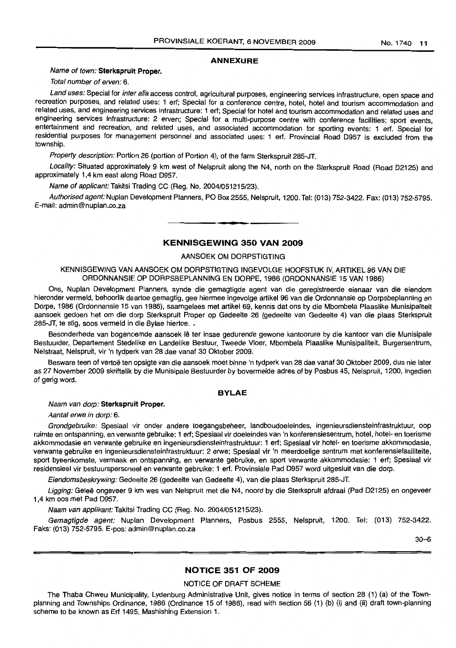### **ANNEXURE**

### Name of town: **Sterkspruit Proper.**

Total number of erven: 6.

Land uses: Special for inter alia access control, agricultural purposes, engineering services infrastructure, open space and recreation purposes, and related uses: 1 ert; Special for a conference centre, hotel, hotel and tourism accommodation and related uses, and engineering services infrastructure: 1 ert; Special for hotel and tourism accommodation and related uses and engineering services infrastructure: 2 erven; Special for a multi-purpose centre with conference facilities; sport events, entertainment and recreation, and related uses, and associated accommodation for sporting events: 1 ert. Special for residential purposes for management personnel and associated uses: 1 ert. Provincial Road D957 is excluded from the township.

Property description: Portion 26 (portion of Portion 4), of the farm Sterkspruit 285-JT.

Locality: Situated approximately 9 km west of Nelspruit along the N4, north on the Sterkspruit Road (Road D2125) and approximately 1,4 km east along Road D957.

Name of applicant: Takitsi Trading CC (Reg. No. 2004/051215/23).

Authorised agent: Nuplan Development Planners, PO Box 2555, Nelspruit, 1200. Tel: (013) 752-3422. Fax: (013) 752-5795. E-mail: admin@nuplan.co.za

### **KENNISGEWING 350 VAN 2009**

**• E**

### AANSOEK OM DORPSTIGTING

KENNISGEWING VAN AANSOEK OM DORPSTIGTING INGEVOLGE HOOFSTUK IV, ARTIKEL 96 VAN DIE ORDONNANSIE OP DORPSBEPLANNING EN DORPE, 1986 (ORDONNANSIE 15 VAN 1986)

Ons, Nuplan Development Planners, synde die gemagtigde agent van die geregistreerde eienaar van die eiendom hieronder vermeld, behoorlik daartoe gemagtig, gee hiermee ingevolge artikel 96 van die Ordonnansie op Dorpsbeplanning en Dorpe, 1986 (Ordonnansie 15 van 1986), saamgelees met artikel 69, kennis dat ons by die Mbombela Plaaslike Munisipaliteit aansoek gedoen het om die dorp Sterkspruit Proper op Gedeelte 26 (gedeelte van Gedeelte 4) van die plaas Sterkspruit 285-JT, te stig, soos vermeld in die Bylae hiertoe. .

Besonderhede van bogenoemde aansoek lê ter insae gedurende gewone kantoorure by die kantoor van die Munisipale Bestuurder, Departement Stedelike en Landelike Bestuur, Tweede Vloer, Mbombela Plaaslike Munisipaliteit, Burgersentrum, Nelstraat, Nelspruit, vir 'n tydperk van 28 dae vanaf 30 Oktober 2009.

Besware teen of vertoë ten opsigte van die aansoek moet binne 'n tydperk van 28 dae vanaf 30 Oktober 2009, dus nie later as 27 November 2009 skriftelik by die Munisipale Bestuurder by bovermelde adres of by Posbus 45, Nelspruit, 1200, ingedien of gerig word.

### **BYLAE**

Naam van dorp: **Sterkspruit Proper.**

Aantal erwe in dorp: 6.

Grondgebruike: Spesiaal vir onder andere toegangsbeheer, landboudoeleindes, ingenieursdiensteinfrastruktuur, oop ruimte en ontspanning, en verwante gebruike: 1 ert; Spesiaal vir doeleindes van 'n konferensiesentrum, hotel, hotel- en toerisme akkommodasie en verwante gebruike en ingenieursdiensteinfrastruktuur: 1 ert; Spesiaal vir hotel- en toerisme akkommodasie, verwante gebruike en lnqenieursdiensteintrasfruktuur: 2 erwe; Spesiaal vir 'n meerdoelige sentrum met konferensiefasiliteite, sport byeenkomste, vermaak en ontspanning, en verwante gebruike, en sport verwante akkommodasie: 1 ert; Spesiaal vir residensieel vir bestuurspersoneel en verwante gebruike: 1 ert. Provinsiale Pad D957 word uitgesluit van die dorp.

Eiendomsbeskrywing: Gedeelte 26 (gedeelte van Gedeelte 4), van die plaas Sterkspruit 285-JT.

Ligging: Geleë ongeveer 9 km wes van Nelspruit met die N4, noord by die Sterkspruit afdraai (Pad D2125) en ongeveer 1,4 km oos met Pad D957.

Naam van applikant: Takitsi Trading CC (Reg. No. 2004/051215/23).

Gemagtigde agent: Nuplan Development Planners, Posbus 2555, Nelspruit, 1200. Tel: (013) 752-3422. Faks: (013) 752-5795. E-pos: admin@nuplan.co.za

30-6

### **NOTICE 351 OF 2009**

## NOTICE OF DRAFT SCHEME

The Thaba Chweu Municipality, Lydenburg Administrative Unit, gives notice in terms of section 28 (1) (a) of the Townplanning and Townships Ordinance, 1986 (Ordinance 15 of 1986), read with section 56 (1) (b) (i) and (ii) draft town-planning scheme to be known as Ert 1495, Mashishing Extension 1.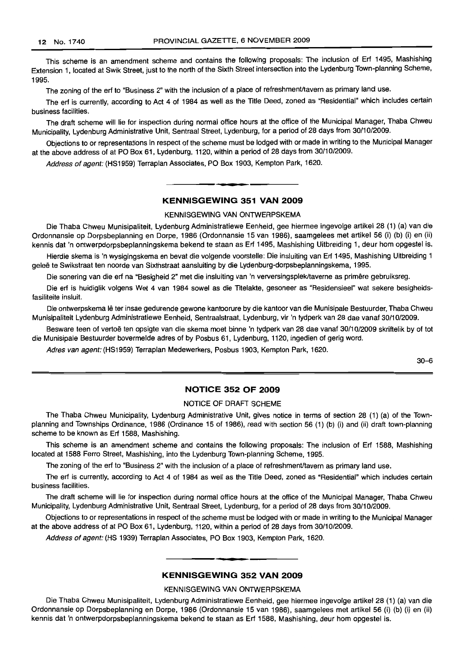This scheme is an amendment scheme and contains the following proposals: The inclusion of Erf 1495, Mashishing Extension 1, located at Swik Street, just to the north of the Sixth Street intersection into the Lydenburg Town-planning Scheme, 1995.

The zoning of the erf to "Business 2" with the inclusion of a place of refreshment/tavern as primary land use.

The erf is currently, according to Act 4 of 1984 as well as the Title Deed, zoned as "Residential" which includes certain business facilities.

The draft scheme will lie for inspection during normal office hours at the office of the Municipal Manager, Thaba Chweu Municipality, Lydenburg Administrative Unit, Sentraal Street, Lydenburg, for a period of 28 days from 30/10/2009.

Objections to or representations in respect of the scheme must be lodged with or made in writing to the Municipal Manager at the above address of at PO Box 61, Lydenburg, 1120, within a period of 28 days from 30/10/2009.

Address of agent: (HS1959) Terraplan Associates, PO Box 1903, Kempton Park, 1620.

## **KENNISGEWING 351 VAN 2009**

I **• •**

KENNISGEWING VAN ONTWERPSKEMA

Die Thaba Chweu Munisipaliteit, Lydenburg Administratiewe Eenheid, gee hiermee ingevolge artikel 28 (1) (a) van die Ordonnansie op Dorpsbeplanning en Dorpe, 1986 (Ordonnansie 15 van 1986), saamgelees met artikel 56 (i) (b) (i) en (ii) kennis dat 'n ontwerpdorpsbeplanningskema bekend te staan as Erf 1495, Mashishing Uitbreiding 1, deur hom opgestel is.

Hierdie skema is 'n wysigingskema en bevat die volgende voorstelle: Die insluiting van Erf 1495, Mashishing Uitbreiding 1 gelee te Swikstraat ten noorde van Sixthstraat aansluiting by die Lydenburg-dorpsbeplanningskema, 1995.

Die sonering van die erf na "Besigheid 2" met die insluiting van 'n verversingsplek/taverne as primêre gebruiksreg.

Die erf is huidiglik volgens Wet 4 van 1984 sowel as die Titelakte, gesoneer as "Residensieel" wat sekere besigheidsfasiliteite insluit.

Die ontwerpskema lê ter insae gedurende gewone kantoorure by die kantoor van die Munisipale Bestuurder, Thaba Chweu Munisipaliteit Lydenburg Administratiewe Eenheid, Sentraalstraat, Lydenburg, vir 'n tydperk van 28 dae vanaf 30/10/2009.

Besware teen of vertoë ten opsigte van die skema moet binne 'n tydperk van 28 dae vanaf 30/10/2009 skriftelik by of tot die Munisipale Bestuurder bovermelde adres of by Posbus 61, Lydenburg, 1120, ingedien of gerig word.

Adres van agent: (HS1959) Terraplan Medewerkers, Posbus 1903, Kempton Park, 1620.

30-6

### **NOTICE 352 OF 2009**

### NOTICE OF DRAFT SCHEME

The Thaba Chweu Municipality, Lydenburg Administrative Unit, gives notice in terms of section 28 (1) (a) of the Townplanning and Townships Ordinance, 1986 (Ordinance 15 of 1986), read with section 56 (1) (b) (i) and (ii) draft town-planning scheme to be known as Erf 1588, Mashishing.

This scheme is an amendment scheme and contains the following proposals: The inclusion of Erf 1588, Mashishing located at 1588 Ferro Street, Mashishing, into the Lydenburg Town-planning Scheme, 1995.

The zoning of the erf to "Business 2" with the inclusion of a place of refreshment/tavern as primary land use.

The erf is currently, according to Act 4 of 1984 as well as the Title Deed, zoned as "Residential" which includes certain business facilities.

The draft scheme will lie for inspection during normal office hours at the office of the Municipal Manager, Thaba Chweu Municipality, Lydenburg Administrative Unit, Sentraal Street, Lydenburg, for a period of 28 days from 30/10/2009.

Objections to or representations in respect of the scheme must be lodged with or made in writing to the Municipal Manager at the above address of at PO Box 61, Lydenburg, 1120, within a period of 28 days from 30/10/2009.

Address of agent: (HS 1939) Terraplan Associates, PO Box 1903, Kempton Park, 1620.

### **KENNISGEWING 352 VAN 2009**

.**- .**

### KENNISGEWING VAN ONTWERPSKEMA

Die Thaba Chweu Munisipaliteit, Lydenburg Administratiewe Eenheid, gee hiermee ingevolge artikel 28 (1) (a) van die Ordonnansie op Dorpsbeplanning en Dorpe, 1986 (Ordonnansie 15 van 1986), saamgelees met artikel 56 (i) (b) (i) en (ii) kennis dat 'n ontwerpdorpsbeplanningskema bekend te staan as Erf 1588, Mashishing, deur hom opgestel is.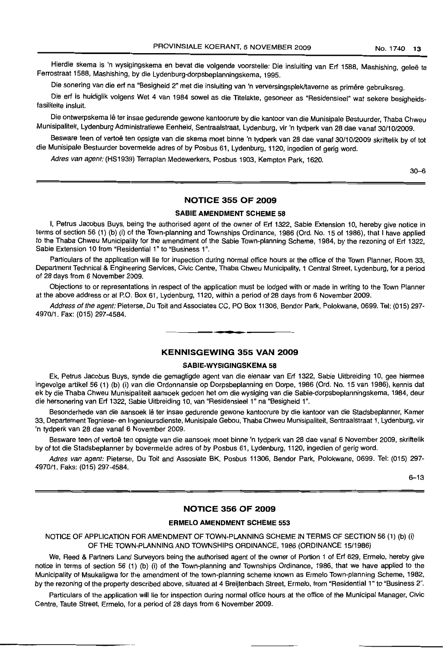Hierdie skema is 'n wysigingskema en bevat die volgende voorstelle: Die insluiting van Erf 1588, Mashishing, geleë te Ferrostraat 1588, Mashishing, by die Lydenburg-dorpsbeplanningskema, 1995.

Die sonering van die erf na "Besigheid 2" met die insluiting van 'n verversingsplek/taverne as primêre gebruiksreg.

Die erf is huidiglik volgens Wet 4 van 1984 sowel as die Titelakte, gesoneer as "Residensieel" wat sekere besigheidsfasiliteite insluit.

Die ontwerpskema lê ter insae gedurende gewone kantoorure by die kantoor van die Munisipale Bestuurder, Thaba Chweu Munisipaliteit, Lydenburg Administratiewe Eenheid, Sentraalstraat, Lydenburg, vir 'n tydperk van 28 dae vanaf 30/10/2009.

Besware teen of vertoë ten opsigte van die skema moet binne 'n tydperk van 28 dae vanaf 30/10/2009 skriftelik by of tot die Munisipale Bestuurder bovermelde adres of by Posbus 61, Lydenburg, 1120, ingedien of gerig word.

Adres van agent: (HS1939) Terraplan Medewerkers, Posbus 1903, Kempton Park, 1620.

30-6

## **NOTICE 355 OF 2009**

### **SABlE AMENDMENT SCHEME 58**

I, Petrus Jacobus Buys, being the authorised agent of the owner of Erf 1322, Sabie Extension 10, hereby give notice in terms of section 56 (1) (b) (i) of the Town-planning and Townships Ordinance, 1986 (Ord. No. 15 of 1986), that I have applied to the Thaba Chweu Municipality for the amendment of the Sabie Town-planning Scheme, 1984, by the rezoning of Erf 1322, Sabie Extension 10 from "Residential 1" to "Business 1".

Particulars of the application will lie for inspection during normal office hours at the office of the Town Planner, Room 33, Department Technical & Engineering Services, Civic Centre, Thaba Chweu Municipality, 1 Central Street, Lydenburg, for a period of 28 days from 6 November 2009.

Objections to or representations in respect of the application must be lodged with or made in writing to the Town Planner at the above address or at P.O. Box 61, Lydenburg, 1120, within a period of 28 days from 6 November 2009.

Address of the agent: Pieterse, Du Toit and Associates CC, PO Box 11306, Bendor Park, Polokwane, 0699. Tel: (015) 297- 4970/1. Fax: (015) 297-4584.

.**- .**

### **KENNISGEWING 355 VAN 2009**

### **SABIE-WYSIGINGSKEMA 58**

Ek, Petrus Jacobus Buys, synde die gemagtigde agent van die eienaar van Erf 1322, Sabie Uitbreiding 10, gee hiermee ingevolge artikel 56 (1) (b) (i) van die Ordonnansie op Dorpsbeplanning en Dorpe, 1986 (Ord. No. 15 van 1986), kennis dat ek by die Thaba Chweu Munisipaliteit aansoek gedoen het om die wysiging van die Sabie-dorpsbeplanningskema, 1984, deur die hersonering van Erf 1322, Sabie Uitbreiding 10, van "Residensieel 1" na "Besigheid 1".

Besonderhede van die aarisoek lê ter insae gedurende gewone kantoorure by die kantoor van die Stadsbeplanner, Kamer 33, Departement Tegniese- en Ingenieursdienste, Munisipale Gebou, Thaba Chweu Munisipaliteit, Sentraalstraat 1, Lydenburg, vir 'n tydperk van 28 dae vanaf 6 November 2009.

Besware teen of vertoë ten opsigte van die aansoek moet binne 'n tydperk van 28 dae vanaf 6 November 2009, skriftelik by of tot die Stadsbeplanner by bovermelde adres of by Posbus 61, Lydenburg, 1120, ingedien of gerig word.

Adres van agent: Pieterse, Du Toit and Assosiate BK, Posbus 11306, Bendor Park, Polokwane, 0699. Tel: (015) 297- 4970/1. Faks: (015) 297-4584.

6-13

### **NOTICE 356 OF 2009**

### **ERMELO AMENDMENT SCHEME 553**

### NOTICE OF APPLICATION FOR AMENDMENT OF TOWN-PLANNING SCHEME **IN** TERMS OF SECTION 56 (1) (b) (i) OF THE TOWN-PLANNING AND TOWNSHIPS ORDINANCE, 1986 (ORDINANCE 15/1986)

We, Reed & Partners Land Surveyors being the authorised agent of the owner of Portion 1 of Erf 629, Ermelo, hereby give notice in terms of section 56 (1) (b) (i) of the Town-planning and Townships Ordinance, 1986, that we have applied to the Municipality of Msukaligwa for the amendment of the town-planning scheme known as Ermelo Town-planning Scheme, 1982, by the rezoning of the property described above, situated at 4 Breijtenbach Street, Ermelo, from "Residential 1" to "Business 2".

Particulars of the application will lie for inspection during normal office hours at the office of the Municipal Manager, Civic Centre, Taute Street, Ermelo, for a period of 28 days from 6 November 2009.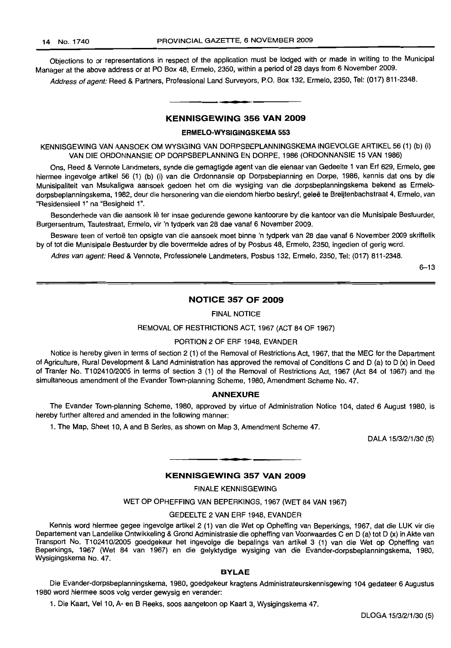Objections to or representations in respect of the application must be lodged with or made in writing to the Municipal Manager at the above address or at PO Box 48, Ermelo, 2350, within a period of 28 days from 6 November 2009.

Address of agent: Reed & Partners, Professional Land Surveyors, P.O. Box 132, Ermelo, 2350, Tel: (017) 811-2348.

## **•** KENNISGEWING 356 VAN 2009

### ERMELO·WVSIGINGSKEMA 553

KENNISGEWING VAN MNSOEK OM WVSIGING VAN DORPSBEPLANNINGSKEMA INGEVOLGE ARTIKEL 56 (1) (b) (i) VAN DIE ORDONNANSIE OP DORPSBEPLANNING EN DORPE, 1986 (ORDONNANSIE 15 VAN 1986)

Ons, Reed & Vennote Landmeters, synde die gemagtigde agent van die eienaar van Gedeelte 1 van Erf 629, Ermelo, gee hiermee ingevolge artikel 56 (1) (b) (i) van die Ordonnansie op Dorpsbeplanning en Dorpe, 1986, kennis dat ons by die Munisipaliteit van Msukaligwa aansoek gedoen het om die wysiging van die dorpsbeplanningskema bekend as Ermelodorpsbeplanningskema, 1982, deur die hersonering van die eiendom hierbo beskryf, geleë te Breijtenbachstraat 4, Ermelo, van "ResidensieeI1" na "Besigheid 1".

Besonderhede van die aansoek lê ter insae gedurende gewone kantoorure by die kantoor van die Munisipale Bestuurder, Burgersentrum, Tautestraat, Ermelo, vir 'n tydperk van 28 dae vanaf 6 November 2009.

Besware teen of vertoe ten opsigte van die aansoek moet binne 'n tydperk van 28 dae vanaf 6 November 2009 skriftelik by of tot die Munisipale Bestuurder by die bovermelde adres of by Posbus 48, Ermelo, 2350, ingedien of gerig word.

Adres van agent: Reed & Vennote, Professionele Landmeters, Posbus 132, Ermelo, 2350, Tel: (017) 811-2348.

6-13

### NOTICE 357 OF 2009

FINAL NOTICE

REMOVAL OF RESTRICTIONS ACT, 1967 (ACT 84 OF 1967)

### PORTION 2 OF ERF 1948, EVANDER

Notice is hereby given in terms of section 2 (1) of the Removal of Restrictions Act, 1967, that the MEC for the Department of Agriculture, Rural Development & Land Administration has approved the removal of Conditions C and 0 (a) to D (x) in Deed of Tranfer No. T102410/2005 in terms of section 3 (1) of the Removal of Restrictions Act, 1967 (Act 84 of 1967) and the simultaneous amendment of the Evander Town-planning Scheme, 1980, Amendment Scheme No. 47.

### ANNEXURE

The Evander Town-planning Scheme, 1980, approved by virtue of Administration Notice 104, dated 6 August 1980, is hereby further altered and amended in the following manner:

1. The Map, Sheet 10. A and B Series, as shown on Map 3, Amendment Scheme 47.

DALA 15/3/2/1/30 (5)

### KENNISGEWING 357 VAN 2009

.**-.**

FINALE KENNISGEWING

WET OP OPHEFFING VAN BEPERKINGS, 1967 (WET 84 VAN 1967)

### GEDEELTE 2 VAN ERF 1948, EVANDER

Kennis word hiermee gegee ingevolge artikel 2 (1) van die Wet op Opheffing van Beperkings, 1967, dat die LUK vir die Departement van Landelike Ontwikkeling & Grond Administrasie die opheffing van Voorwaardes C en 0 (a) tot 0 (x) in Akte van Transport No. T102410/2005 goedgekeur het ingevolge die bepalings van artikel 3 (1) van die Wet op Opheffing van Beperkings, 1967 (Wet 84 van 1967) en die gelyktydige wysiging van die Evander-dorpsbeplanningskema, 1980, Wysigingskema No. 47.

### BYLAE

Die Evander-dorpsbeplanningskema, 1980, goedgekeur kragtens Administrateurskennisgewing 104 gedateer 6 Augustus 1980 word hiermee soos volg verder gewysig en verander:

1. Die Kaart, Vel 10, A- en B Reeks, soos aangetoon op Kaart 3, Wysigingskema 47.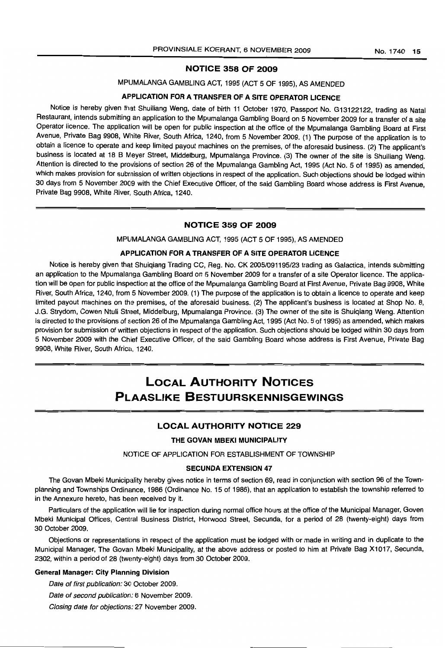### NOTICE 358 OF 2009

## MPlJMALANGA GAMBLING ACT, 1995 (ACT 5 OF 1995), AS AMENDED

## APPLICATION FOR A TRANSFER OF A SITE OPERATOR LICENCE

Notice is hereby given that Shuiliang Weng, date of birth 11 October 1970, Passport No. G13122122, trading as Natal Restaurant, intends submitting an application to the Mpumalanga Gambling Board on 5 November 2009 for a transfer of a site Operator licence. The application will be open for public inspection at the office of the Mpumalanga Gambling Board at First Avenue, Private Bag 9908, White River, South Africa, 1240, from 5 November 2009. (1) The purpose of the application is to obtain a licence to operate and keep limited payout machines on the premises, of the aforesaid business. (2) The applicant's business is located at 18 B Meyer Street, Middelburg, Mpumalanga Province. (3) The owner of the site is Shuiliang Weng. Attention is directed to the provisions of section 26 of the Mpumalanga Gambling Act, 1995 (Act No.5 of 1995) as amended, which makes provision for subrnission of written objections in respect of the application. Such objections should be lodged within 30 days from 5 November 2009 with the Chief Executive Officer, of the said Gambling Board whose address is First Avenue, Private Bag 9908, White River, South Africa, 1240.

### NOTICE 359 OF 2009

### MPUMALANGA GAMBLING ACT, 1995 (ACT 5 OF 1995), AS AMENDED

### APPLICATION FOR A TRANSFER OF A SITE OPERATOR LICENCE

Notice is hereby given that Shuiqiang Trading CC, Reg. No. CK 2005/091195/23 trading as Galactica, intends submitting an application to the Mpumalanga Gambling Board on 5 November 2009 for a transfer of a site Operator licence. The application will be open for public inspection at the office of the Mpumalanga Gambling Board at First Avenue, Private Bag 9908, White River, South Africa, 1240, from 5 November 2009. (1) The purpose of the application is to obtain a licence to operate and keep limited payout machines on the premises, of the aforesaid business. (2) The applicant's business is located at Shop No.8, J.G. Strydom, Cowen Ntuli Street, Middefburg, Mpumalanga Province. (3) The owner of the site is Shuiqiang Weng. Attention is directed to the provisions of section 26 of the Mpumalanga Gambling Act, 1995 (Act No.5 of 1995) as amended, which makes provision for submission of written objections in respect of the application. Such objections should be lodged within 30 days from 5 November 2009 with the Chief Executive Officer, of the said Gambling Board whose address is First Avenue, Private Bag 9908, White River, South Africa, 1240.

## LOCAL AUTHORITY NOTICES PLAASLIKE BESTUURSKENNISGEWINGS

### **LOCAL AUTHORITY NOTICE 229**

### THE GOVAN MBEKI MUNICIPALITY

### NOTICE OF APPLICATION FOR ESTABLISHMENT OF TOWNSHIP

### SECUNDA EXTENSION 47

The Govan Mbeki Municipality hereby gives notice in terms of section 69, read in conjunction with section 96 of the Townplanning and Townships Ordinance, 1986 (Ordinance No. 15 of 1986), that an application to establish the township referred to in the Annexure hereto, has been received by it.

Particulars of the application will lie for inspection during normal office hours at the office of the Municipal Manager, Goven Mbeki Municipal Offices, Central Business District, Horwood Street, Secunda, for a period of 28 (twenty-eight) days from 30 October 2009.

Objections or representations in respect of the application must be lodged with or made in writing and in duplicate to the Municipal Manager, The Govan Mbeki Municipality, at the above address or posted to him at Private Bag X1017, Secunda, 2302, within a period of 28 (twenty-elqht) days from 30 October 2009.

### General Manager: City Planning Division

Date of first publication: 30 October 2009.

Date of second publication: 6 November 2009.

Closing date for objections: 27 November 2009.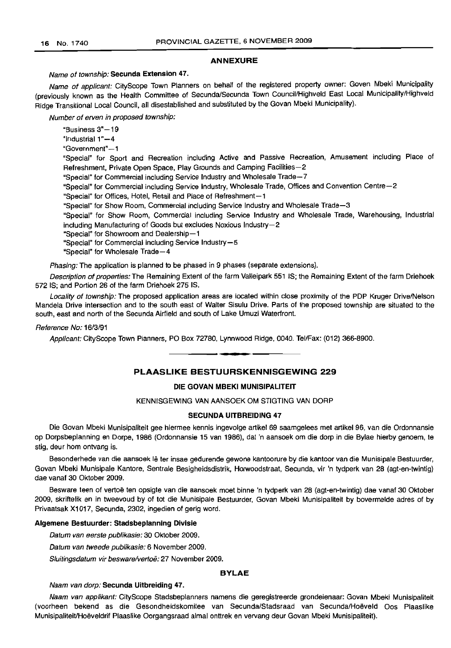### ANNEXURE

### Name of township: Secunda Extension 47.

Name of applicant: CityScope Town Planners on behalf of the registered property owner: Goven Mbeki Municipality (previously known as the Health Committee of Secunda/Secunda Town Council/Highveld East Local Municipality/Highveld Ridge Transitional Local Council, all disestablished and substituted by the Govan Mbeki Municipality).

Number of erven in proposed township:

"Business 3"-19 "Industrial 1"-4 "Government"-1 "Special" for Sport and Recreation including Active and Passive Recreation, Amusement including Place of Refreshment, Private Open Space, Play Grounds and Camping Facilities-2 "Special" for Commercial including Service Industry and Wholesale Trade-7 "Special" for Commercial including Service Industry, Wholesale Trade, Offices and Convention Centre-2 "Special" for Offices, Hotel, Retail and Place of Refreshment-1 "Special" for Show Room, Commercial including Service Industry and Wholesale Trade-3 "Special" for Show Room, Commercial including Service Industry and Wholesale Trade, Warehousing, Industrial including Manufacturing of Goods but excludes Noxious Industry-2 "Special" for Showroom and Dealership-1 "Special" for Commercial including Service Industry-5 "Special" for Wholesale Trade-4

Phasing: The application is planned to be phased in 9 phases (separate extensions).

Description of properties: The Remaining Extent of the farm Valleipark 551 IS; the Remaining Extent of the farm Driehoek 572 IS; and Portion 26 of the farm Driehoek 275 IS.

Locality of township: The proposed application areas are located within close proximity of the PDP Kruger Drive/Nelson Mandela Drive intersection and to the south east of Walter Sisulu Drive. Parts of the proposed township are situated to the south, east and north of the Secunda Airfield and south of Lake Umuzi Waterfront.

#### Reference No: 16/3/91

Applicant: CityScope Town Planners, PO Box 72780, Lynnwood Ridge, 0040. Tel/Fax: (012) 366-8900.

PLAASLIKE BESTUURSKENNISGEWING 229

• **• •**

### DIE GOVAN MBEKI MUNISIPALITEIT

### KENNISGEWING VAN AANSOEK OM STIGTING VAN DORP

### SECUNDA UITBREIDING 47

Die Govan Mbeki Munisipaliteit gee hiermee kennis ingevolge artikel 69 saamgelees met artikel 96, van die Ordonnansie op Dorpsbeplanning en Dorpe, 1986 (Ordonnansie 15 van 1986), dat 'n aansoek om die dorp in die Bylae hierby genoem, te stig, deur hom ontvang is.

Besonderhede van die aansoek lê ter insae gedurende gewone kantoorure by die kantoor van die Munisipale Bestuurder, Govan Mbeki Munisipale Kantore, Sentrale Besigheidsdistrik, Horwoodstraat, Secunda, vir 'n tydperk van 28 (agt-en-twintig) dae vanaf 30 Oktober 2009.

Besware teen of vertoe ten opsigte van die aansoek moet binne 'n tydperk van 28 (agt-en-twintig) dae vanaf 30 Oktober 2009, skriftelik en in tweevoud by of tot die Munisipale Bestuurder, Govan Mbeki Munisipaliteit by bovermelde adres of by Privaatsak X1017, Secunda, 2302, ingedien of gerig word.

### Aigemene Bestuurder: Stadsbeplanning Divisie

Datum van eerste publikasie: 30 Oktober 2009.

Datum van tweede publikasie: 6 November 2009.

Sluitingsdatum vir besware/vertoë: 27 November 2009.

### BYLAE

### Naam van dorp: Secunda Uitbreiding 47.

Naam van applikant: CityScope Stadsbeplanners namens die geregistreerde grondeienaar: Govan Mbeki Munisipaliteit (voorheen bekend as die Gesondheidskomitee van Secunda/Stadsraad van Secunda/Hoeveld 005 Plaaslike MunisipaliteitiHoeveldrif Plaaslike Oorgangsraad almal onttrek en vervang deur Govan Mbeki Munisipaliteit).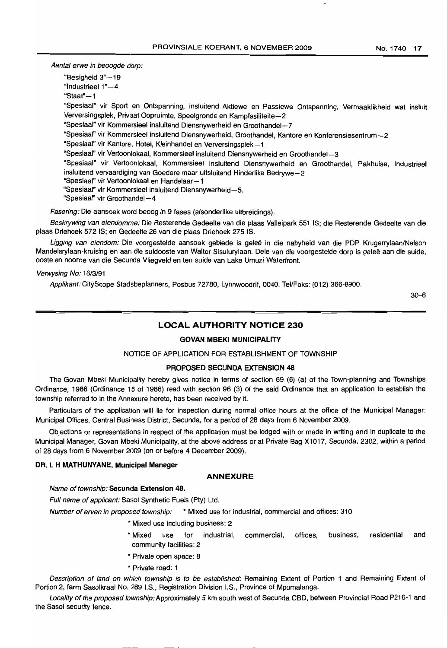Aantal erwe in beoogde dorp:

- "Besigheid 3"-19
- "IndustrieeI 1"-4
- "Staat" $-1$

"Spesiaal" vir Sport en Ontspanning, insluitend Aktiewe en Passiewe Ontspanning, Vermaaklikheid wat insluit Verversingsplek, Privaat Oopruimte, Speelgronde en Kampfasiliteite-2

- "Spesiaal" vir Kommersieel insluitend Diensnywerheid en Groothandel-7
- "Spesiaal" vir Kommersieel insluitend Diensnywerheid, Groothandel, Kantore en Konferensiesentrum-2
- "Spesiaal" vir Kantore, Hotel, Kleinhandel en Verversingsplek-1
- "Spesiaal" vir Vertoonlokaal, Kommersieel insluitend Diensnywerheid en Groothandel-3

"Spesiaal" vir Vertoonlokaal, Kommersieel insluitend Diensnywerheid en Groothandel, Pakhuise, Industrieel insluitend vervaardiging van Goedere maar uitsluitend Hinderlike Bedrywe-2

- "Spesiaal" vir Vertoonlokaal en Handelaar-1
- "Spesiaal" vir Kommersieel insluitend Diensnywerheid-5.
- "Spesiaal" vir Groothandel-4

Fasering: Die aansoek word beoog in 9 fases (afsonderlike uitbreidings).

Beskrywing van eiendomme: Die Resterende Gedeelte van die plaas Valleipark 551 IS; die Resterende Gedeelte van die plaas Driehoek 572 IS; en Gecleelte 26 van die plaas Driehoek 275 IS.

Ligging van eiendom: Die voorgestelde aansoek gebiede is geleë in die nabyheid van die PDP Krugerrylaan/Nelson Mandelarylaan-kruising en aan die suidooste van Walter Sisulurylaan. Dele van die voorgestelde dorp is geleë aan die suide, ooste en noorde van die Secunda Vliegveld en ten sulde van Lake Umuzi Waterfront.

### Verwysing No: 16/3/91

Applikant: CityScope Stadsbeplanners, Posbus 72780, Lynnwoodrif, 0040. Tel/Faks: (012) 366-8900.

30-6

## LOCAL AUTHORITY NOTICE 230

## GOVAN MBEKI MUNICIPALITY

### NOTICE OF APPLICATION FOR ESTABLISHMENT OF TOWNSHIP

### PROPOSED SECUNDA EXTENSION 48

The Govan Mbeki Municipality hereby gives notice in terms of section 69 (6) (a) of the Town-planning and Townships Ordinance, 1986 (Ordinance 15 of 1986) read with section 96 (3) of the said Ordinance that an application to establish the township referred to in the Annexure hereto, has been received by it.

Particulars of the application will lie for inspection during normal office hours at the office of the Municipal Manager: Municipal Offices, Central Business District, Secunda, for a period of 28 days from 6 November 2009.

Objections or representations in respect of the application must be lodged with or made in writing and in duplicate to the Municipal Manager, Govan Mbeki Municipality, at the above address or at Private Bag X1017, Secunda, 2302, within a period of 28 days from 6 November 2009 (on or before 4 December 2009).

### DR. L H MATHUNYANE, Municipal Manager

### ANNEXURE

### Name of township: Secunda Extension 48.

Full name of applicant: Sasol Synthetic Fuels (Pty) Ltd.

Number of erven in proposed township: \* Mixed use for industrial, commercial and offices: 310

- \* Mixed use including business: 2
- \* Mixed use for industrial, commercial, offices, business, residential and community facilities: 2
- \* Private open space: 8
- \* Private road: 1

Description of land on which township is to be established: Remaining Extent of Portion 1 and Remaining Extent of Portion 2, farm Sasolkraal No. 289 I.S., Registration Division I.S., Province of Mpumalanga.

Locality of the proposed township: Approximately 5 km south west of Secunda CBD, between Provincial Road P216-1 and the Sasol security fence.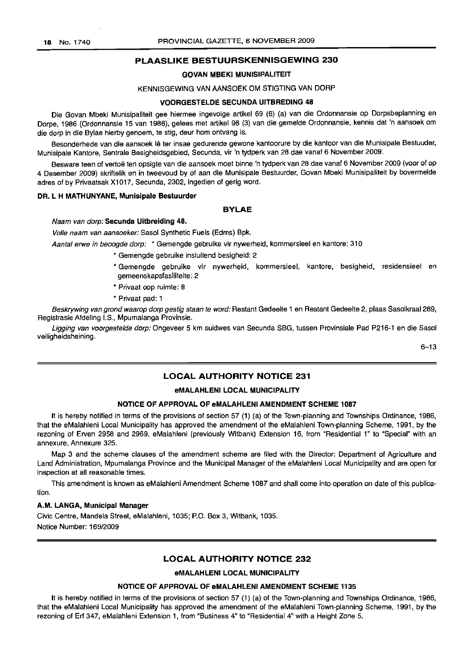### PLAASLIKE BESTUURSKENNISGEWING 230

### GOVAN MBEKI MUNISIPALITEIT

## KENNISGEWING VAN AANSOEK OM STIGTING VAN DORP

### VOORGESTELDE SECUNDA UITBREDING 48

Die Govan Mbeki Munisipaliteit gee hiermee ingevolge artikel 69 (6) (a) van die Ordonnansie op Dorpsbeplanning en Dorpe, 1986 (Ordonnansie 15 van 1986), gelees met artikel 96 (3) van die gemelde Ordonnansie, kennis dat 'n aansoek om die dorp in die Bylae hierby genoem, te stig, deur hom ontvang is.

Besonderhede van die aansoek lê ter insae gedurende gewone kantoorure by die kantoor van die Munisipale Bestuuder, Munisipale Kantore, Sentrale Besigheidsgebied, Secunda, vir 'n tydperk van 28 dae vanaf 6 November 2009.

Besware teen of vertoë ten opsigte van die aansoek moet binne 'n tydperk van 28 dae vanaf 6 November 2009 (voor of op 4 Desember 2009) skriftelik en in tweevoud by of aan die Munisipale Bestuurder, Govan Mbeki Munisipaliteit by bovermelde adres of by Privaatsak X1017, Secunda, 2302, ingedien of gerig word.

### DR. L H MATHUNYANE, Munisipale Bestuurder

### BYLAE

Naam van dorp: Secunda Uitbreiding 48.

Volle naam van aansoeker: Sasol Synthetic Fuels (Edms) Bpk.

Aantal erwe in beoogde dorp: \* Gemengde gebruike vir nywerheid, kommersieel en kantore: 310

- \* Gemengde gebruike insluitend besigheid: 2
- \* Gemengde gebruike vir nywerheid, kommersieel, kantore, besigheid, residensieel en gemeenskapsfasiliteite: 2
- \* Privaat oop ruimte: 8
- \* Privaat pad: 1

Beskrywing van grond waarop dorp gestig staan te word: Restant Gedeelte 1 en Restant Gedeelte 2, plaas Sasolkraal 289, Registrasie Afdeling l.S, Mpumalanga Provinsie.

Ligging van voorgestelde dorp: Ongeveer 5 km suidwes van Secunda SBG, tussen Provinsiale Pad P216-1 en die Sasol veiligheidsheining.

6-13

## LOCAL AUTHORITY NOTICE 231

### eMALAHLENI LOCAL MUNICIPALITY

#### NOTICE OF APPROVAL OF eMALAHLENI AMENDMENT SCHEME 1087

It is hereby notified in terms of the provisions of section 57 (1) (a) of the Town-planning and Townships Ordinance, 1986, that the eMalahleni Local Municipality has approved the amendment of the eMalahleni Town-planning Scheme, 1991, by the rezoning of Erven 2958 and 2969, eMalahleni (previously Witbank) Extension 16, from "Residential 1" to "Special" with an annexure, Annexure 325.

Map 3 and the scheme clauses of the amendment scheme are filed with the Director: Department of Agriculture and Land Administration, Mpumalanga Province and the Municipal Manager of the eMalahleni Local Municipality and are open for inspection at all reasonable times.

This amendment is known as eMalahleni Amendment Scheme 1087 and shall come into operation on date of this publication.

### A.M. LANGA, Municipal Manager

Civic Centre, Mandela Street, eMalahleni, 1035; P.O. Box 3, Witbank, 1035. Notice Number: 169/2009

### LOCAL AUTHORITY NOTICE 232

### eMALAHLENI LOCAL MUNICIPALITY

## NOTICE OF APPROVAL OF eMALAHLENI AMENDMENT SCHEME 1135

It is hereby notified in terms of the provisions of section 57 (1) (a) of the Town-planning and Townships Ordinance, 1986, that the eMalahleni Local Municipality has approved the amendment of the eMalahleni Town-planning Scheme, 1991, by the rezoning of Erf 347, eMalahleni Extension 1, from "Business 4" to "Residential 4" with a Height Zone 5.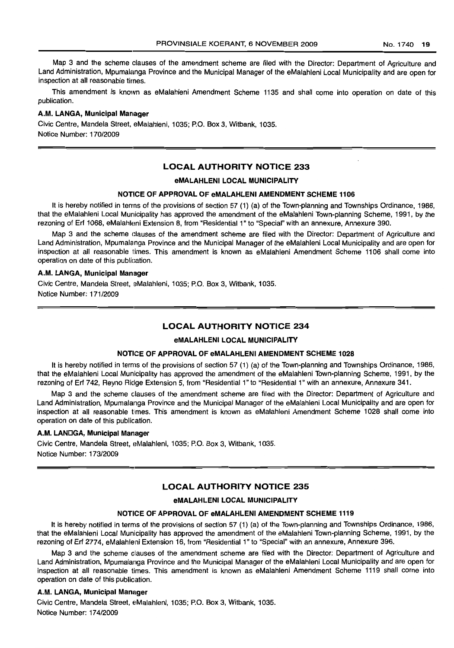Map 3 and the scheme clauses of the amendment scheme are filed with the Director: Department of Agriculture and Land Administration, Mpumalanga Province and the Municipal Manager of the eMalahleni Local Municipality and are open for inspection at all reasonable times.

This amendment is known as eMalahleni Amendment Scheme 1135 and shall come into operation on date of this publication.

### **A.M. LANGA, Municipal Manager**

Civic Centre, Mandela Street, eMafahleni, 1035; P.O. Box 3, Witbank, 1035. Notice Number: 170/2009

### **LOCAL AUTHORITY NOTICE 233**

### **eMALAHLENI LOCAL MUNICIPALITY**

### **NOTICE OF APPROVAL OF eMALAHLENI AMENDMENT SCHEME 1106**

It is hereby notified in terms of the provisions of section 57 (1) (a) of the Town-planning and Townships Ordinance, 1986, that the eMalahleni Local Municipality has approved the amendment of the eMalahleni Town-planning Scheme, 1991, by the rezoning of Erf 1068, eMalahleni Extension 8, from "Residential 1" to "Special" with an annexure, Annexure 390.

Map 3 and the scheme clauses of the amendment scheme are filed with the Director: Department of Agriculture and Land Administration, Mpumalanga Province and the Municipal Manager of the eMalahleni Local Municipality and are open for inspection at all reasonable times. This amendment is known as eMalahleni Amendment Scheme 1106 shall come into operation on date of this publication.

### **A.M. LANGA, Municipal Manager**

Civic Centre, Mandela Street, eMalahleni, 1035; P.O. Box 3, Witbank, 1035. Notice Number: 171/2009

### **LOCAL AUTHORITY NOTICE 234**

### **eMALAHLENI LOCAL MUNICIPALITY**

### **NOTICE OF APPROVAL OF eMALAHLENI AMENDMENT SCHEME 1028**

It is hereby notified in terms of the provisions of section 57 (1) (a) of the Town-planning and Townships Ordinance, 1986, that the eMalahleni Local Municipality has approved the amendment of the eMalahleni Town-planning Scheme, 1991, by the rezoning of Erf 742, Reyno Ridge Extension 5, from "Residential 1" to "Residential 1" with an annexure, Annexure 341.

Map 3 and the scheme clauses of the amendment scheme are filed with the Director: Department of Agriculture and Land Administration, Mpumalanga Province and the Municipal Manager of the eMalahleni Local Municipality and are open for inspection at all reasonable times. This amendment is known as eMalahleni Amendment Scheme 1028 shall come into operation on date of this publication.

### **A.M. LANDGA, Municipal Manager**

Civic Centre, Mandela Street, eMalahleni, 1035; P.O. Box 3, Witbank, 1035. Notice Number: 173/2009

### **LOCAL AUTHORITY NOTICE 235**

### **eMALAHLENI LOCAL MUNICIPALITY**

### **NOTICE OF APPROVAL OF eMALAHLENI AMENDMENT SCHEME 1119**

It is hereby notified in terms of the provisions of section 57 (1) (a) of the Town-planning and Townships Ordinance, 1986, that the eMalahleni Local Municipality has approved the amendment of the eMalahleni Town-planning Scheme, 1991, by the rezoning of Erf 2774, eMalahleni Extension 16, from "Residential 1" to "Special" with an annexure, Annexure 396.

Map 3 and the scheme clauses of the amendment scheme are filed with the Director: Department of Agriculture and Land Administration, Mpumalanga Province and the Municipal Manager of the eMalahleni Local Municipality and are open for inspection at all reasonable times. This amendment is known as eMalahleni Amendment Scheme 1119 shall come into operation on date of this publication.

### **A.M. LANGA, Municipal Manager**

Civic Centre, Mandela Street, eMalahleni, 1035; P.O. Box 3, Witbank, 1035. Notice Number: 174/2009